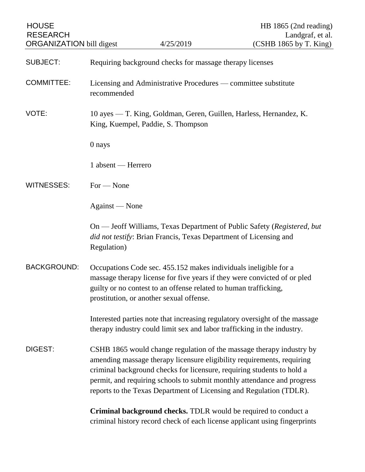| <b>HOUSE</b><br><b>RESEARCH</b> |                                                                                                                                                                                                                                                                                                                                                                            |                                                                         | HB 1865 (2nd reading)<br>Landgraf, et al.                                                                                                     |
|---------------------------------|----------------------------------------------------------------------------------------------------------------------------------------------------------------------------------------------------------------------------------------------------------------------------------------------------------------------------------------------------------------------------|-------------------------------------------------------------------------|-----------------------------------------------------------------------------------------------------------------------------------------------|
| <b>ORGANIZATION</b> bill digest |                                                                                                                                                                                                                                                                                                                                                                            | 4/25/2019                                                               | (CSHB 1865 by T. King)                                                                                                                        |
| <b>SUBJECT:</b>                 | Requiring background checks for massage therapy licenses                                                                                                                                                                                                                                                                                                                   |                                                                         |                                                                                                                                               |
| <b>COMMITTEE:</b>               | Licensing and Administrative Procedures — committee substitute<br>recommended                                                                                                                                                                                                                                                                                              |                                                                         |                                                                                                                                               |
| VOTE:                           | 10 ayes — T. King, Goldman, Geren, Guillen, Harless, Hernandez, K.<br>King, Kuempel, Paddie, S. Thompson                                                                                                                                                                                                                                                                   |                                                                         |                                                                                                                                               |
|                                 | 0 nays                                                                                                                                                                                                                                                                                                                                                                     |                                                                         |                                                                                                                                               |
|                                 | 1 absent — Herrero                                                                                                                                                                                                                                                                                                                                                         |                                                                         |                                                                                                                                               |
| <b>WITNESSES:</b>               | $For - None$                                                                                                                                                                                                                                                                                                                                                               |                                                                         |                                                                                                                                               |
|                                 | Against — None                                                                                                                                                                                                                                                                                                                                                             |                                                                         |                                                                                                                                               |
|                                 | Regulation)                                                                                                                                                                                                                                                                                                                                                                | did not testify: Brian Francis, Texas Department of Licensing and       | On — Jeoff Williams, Texas Department of Public Safety (Registered, but                                                                       |
| <b>BACKGROUND:</b>              | Occupations Code sec. 455.152 makes individuals ineligible for a<br>massage therapy license for five years if they were convicted of or pled<br>guilty or no contest to an offense related to human trafficking,<br>prostitution, or another sexual offense.                                                                                                               |                                                                         |                                                                                                                                               |
|                                 |                                                                                                                                                                                                                                                                                                                                                                            | therapy industry could limit sex and labor trafficking in the industry. | Interested parties note that increasing regulatory oversight of the massage                                                                   |
| DIGEST:                         | CSHB 1865 would change regulation of the massage therapy industry by<br>amending massage therapy licensure eligibility requirements, requiring<br>criminal background checks for licensure, requiring students to hold a<br>permit, and requiring schools to submit monthly attendance and progress<br>reports to the Texas Department of Licensing and Regulation (TDLR). |                                                                         |                                                                                                                                               |
|                                 |                                                                                                                                                                                                                                                                                                                                                                            |                                                                         | Criminal background checks. TDLR would be required to conduct a<br>criminal history record check of each license applicant using fingerprints |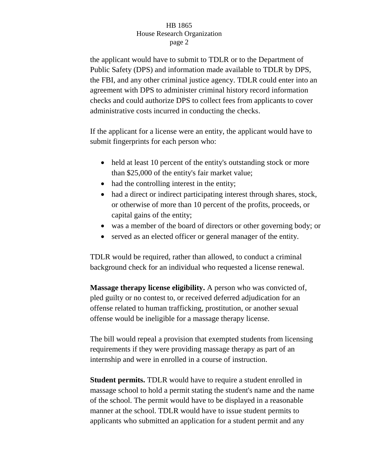## HB 1865 House Research Organization page 2

the applicant would have to submit to TDLR or to the Department of Public Safety (DPS) and information made available to TDLR by DPS, the FBI, and any other criminal justice agency. TDLR could enter into an agreement with DPS to administer criminal history record information checks and could authorize DPS to collect fees from applicants to cover administrative costs incurred in conducting the checks.

If the applicant for a license were an entity, the applicant would have to submit fingerprints for each person who:

- held at least 10 percent of the entity's outstanding stock or more than \$25,000 of the entity's fair market value;
- had the controlling interest in the entity;
- had a direct or indirect participating interest through shares, stock, or otherwise of more than 10 percent of the profits, proceeds, or capital gains of the entity;
- was a member of the board of directors or other governing body; or
- served as an elected officer or general manager of the entity.

TDLR would be required, rather than allowed, to conduct a criminal background check for an individual who requested a license renewal.

**Massage therapy license eligibility.** A person who was convicted of, pled guilty or no contest to, or received deferred adjudication for an offense related to human trafficking, prostitution, or another sexual offense would be ineligible for a massage therapy license.

The bill would repeal a provision that exempted students from licensing requirements if they were providing massage therapy as part of an internship and were in enrolled in a course of instruction.

**Student permits.** TDLR would have to require a student enrolled in massage school to hold a permit stating the student's name and the name of the school. The permit would have to be displayed in a reasonable manner at the school. TDLR would have to issue student permits to applicants who submitted an application for a student permit and any